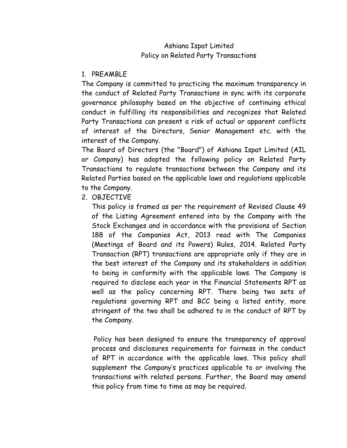# Ashiana Ispat Limited Policy on Related Party Transactions

## 1. PREAMBLE

The Company is committed to practicing the maximum transparency in the conduct of Related Party Transactions in sync with its corporate governance philosophy based on the objective of continuing ethical conduct in fulfilling its responsibilities and recognizes that Related Party Transactions can present a risk of actual or apparent conflicts of interest of the Directors, Senior Management etc. with the interest of the Company.

The Board of Directors (the "Board") of Ashiana Ispat Limited (AIL or Company) has adopted the following policy on Related Party Transactions to regulate transactions between the Company and its Related Parties based on the applicable laws and regulations applicable to the Company.

2. OBJECTIVE

This policy is framed as per the requirement of Revised Clause 49 of the Listing Agreement entered into by the Company with the Stock Exchanges and in accordance with the provisions of Section 188 of the Companies Act, 2013 read with The Companies (Meetings of Board and its Powers) Rules, 2014. Related Party Transaction (RPT) transactions are appropriate only if they are in the best interest of the Company and its stakeholders in addition to being in conformity with the applicable laws. The Company is required to disclose each year in the Financial Statements RPT as well as the policy concerning RPT. There being two sets of regulations governing RPT and BCC being a listed entity, more stringent of the two shall be adhered to in the conduct of RPT by the Company.

Policy has been designed to ensure the transparency of approval process and disclosures requirements for fairness in the conduct of RPT in accordance with the applicable laws. This policy shall supplement the Company's practices applicable to or involving the transactions with related persons. Further, the Board may amend this policy from time to time as may be required.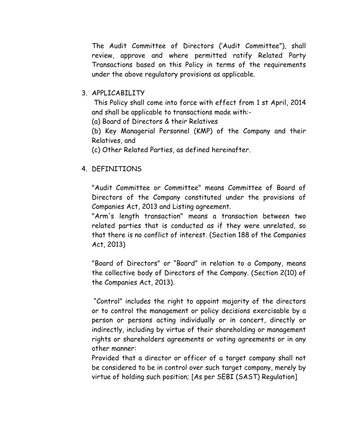The Audit Committee of Directors ('Audit Committee"), shall review, approve and where permitted ratify Related Party Transactions based on this Policy in terms of the requirements under the above regulatory provisions as applicable.

## 3. APPLICABILITY

This Policy shall come into force with effect from 1 st April, 2014 and shall be applicable to transactions made with:-

(a) Board of Directors & their Relatives

(b) Key Managerial Personnel (KMP) of the Company and their Relatives, and

(c) Other Related Parties, as defined hereinafter.

## 4. DEFINITIONS

"Audit Committee or Committee" means Committee of Board of Directors of the Company constituted under the provisions of Companies Act, 2013 and Listing agreement.

"Arm's length transaction" means a transaction between two related parties that is conducted as if they were unrelated, so that there is no conflict of interest. (Section 188 of the Companies Act, 2013)

"Board of Directors" or "Board" in relation to a Company, means the collective body of Directors of the Company. (Section 2(10) of the Companies Act, 2013).

"Control" includes the right to appoint majority of the directors or to control the management or policy decisions exercisable by a person or persons acting individually or in concert, directly or indirectly, including by virtue of their shareholding or management rights or shareholders agreements or voting agreements or in any other manner:

Provided that a director or officer of a target company shall not be considered to be in control over such target company, merely by virtue of holding such position; [As per SEBI (SAST) Regulation]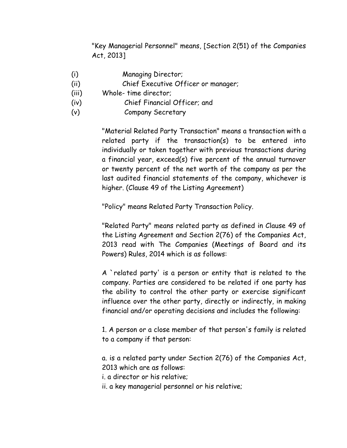"Key Managerial Personnel" means, [Section 2(51) of the Companies Act, 2013]

- (i) Managing Director;
- (ii) Chief Executive Officer or manager;
- (iii) Whole- time director;
- (iv) Chief Financial Officer; and
- (v) Company Secretary

"Material Related Party Transaction" means a transaction with a related party if the transaction(s) to be entered into individually or taken together with previous transactions during a financial year, exceed(s) five percent of the annual turnover or twenty percent of the net worth of the company as per the last audited financial statements of the company, whichever is higher. (Clause 49 of the Listing Agreement)

"Policy" means Related Party Transaction Policy.

"Related Party" means related party as defined in Clause 49 of the Listing Agreement and Section 2(76) of the Companies Act, 2013 read with The Companies (Meetings of Board and its Powers) Rules, 2014 which is as follows:

A `related party' is a person or entity that is related to the company. Parties are considered to be related if one party has the ability to control the other party or exercise significant influence over the other party, directly or indirectly, in making financial and/or operating decisions and includes the following:

1. A person or a close member of that person's family is related to a company if that person:

a. is a related party under Section 2(76) of the Companies Act, 2013 which are as follows:

i. a director or his relative;

ii. a key managerial personnel or his relative;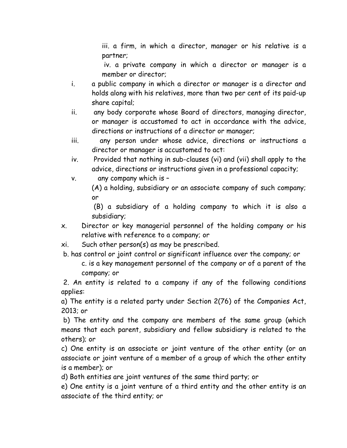iii. a firm, in which a director, manager or his relative is a partner;

iv. a private company in which a director or manager is a member or director;

- i. a public company in which a director or manager is a director and holds along with his relatives, more than two per cent of its paid-up share capital;
- ii. any body corporate whose Board of directors, managing director, or manager is accustomed to act in accordance with the advice, directions or instructions of a director or manager;
- iii. any person under whose advice, directions or instructions a director or manager is accustomed to act:
- iv. Provided that nothing in sub-clauses (vi) and (vii) shall apply to the advice, directions or instructions given in a professional capacity;
- v. any company which is –

(A) a holding, subsidiary or an associate company of such company; or

(B) a subsidiary of a holding company to which it is also a subsidiary;

- x. Director or key managerial personnel of the holding company or his relative with reference to a company; or
- xi. Such other person(s) as may be prescribed.
- b. has control or joint control or significant influence over the company; or

c. is a key management personnel of the company or of a parent of the company; or

2. An entity is related to a company if any of the following conditions applies:

a) The entity is a related party under Section 2(76) of the Companies Act, 2013; or

b) The entity and the company are members of the same group (which means that each parent, subsidiary and fellow subsidiary is related to the others); or

c) One entity is an associate or joint venture of the other entity (or an associate or joint venture of a member of a group of which the other entity is a member); or

d) Both entities are joint ventures of the same third party; or

e) One entity is a joint venture of a third entity and the other entity is an associate of the third entity; or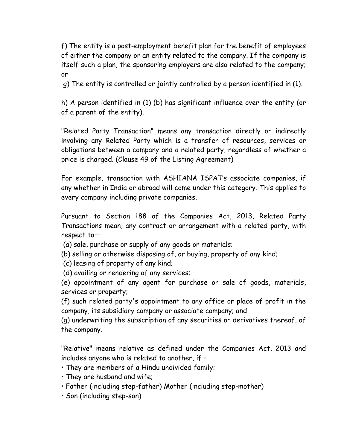f) The entity is a post-employment benefit plan for the benefit of employees of either the company or an entity related to the company. If the company is itself such a plan, the sponsoring employers are also related to the company; or

g) The entity is controlled or jointly controlled by a person identified in (1).

h) A person identified in (1) (b) has significant influence over the entity (or of a parent of the entity).

"Related Party Transaction" means any transaction directly or indirectly involving any Related Party which is a transfer of resources, services or obligations between a company and a related party, regardless of whether a price is charged. (Clause 49 of the Listing Agreement)

For example, transaction with ASHIANA ISPAT's associate companies, if any whether in India or abroad will come under this category. This applies to every company including private companies.

Pursuant to Section 188 of the Companies Act, 2013, Related Party Transactions mean, any contract or arrangement with a related party, with respect to—

(a) sale, purchase or supply of any goods or materials;

(b) selling or otherwise disposing of, or buying, property of any kind;

(c) leasing of property of any kind;

(d) availing or rendering of any services;

(e) appointment of any agent for purchase or sale of goods, materials, services or property;

(f) such related party's appointment to any office or place of profit in the company, its subsidiary company or associate company; and

(g) underwriting the subscription of any securities or derivatives thereof, of the company.

"Relative" means relative as defined under the Companies Act, 2013 and includes anyone who is related to another, if –

- They are members of a Hindu undivided family;
- They are husband and wife;
- Father (including step-father) Mother (including step-mother)
- Son (including step-son)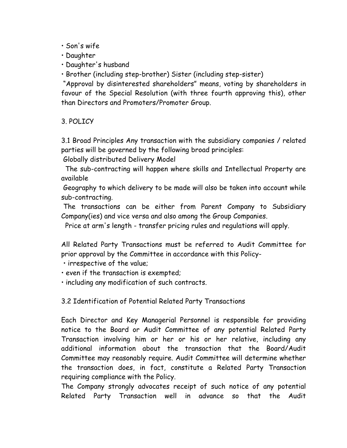• Son's wife

• Daughter

• Daughter's husband

• Brother (including step-brother) Sister (including step-sister)

"Approval by disinterested shareholders" means, voting by shareholders in favour of the Special Resolution (with three fourth approving this), other than Directors and Promoters/Promoter Group.

3. POLICY

3.1 Broad Principles Any transaction with the subsidiary companies / related parties will be governed by the following broad principles:

Globally distributed Delivery Model

 The sub-contracting will happen where skills and Intellectual Property are available

Geography to which delivery to be made will also be taken into account while sub-contracting.

The transactions can be either from Parent Company to Subsidiary Company(ies) and vice versa and also among the Group Companies.

Price at arm's length - transfer pricing rules and regulations will apply.

All Related Party Transactions must be referred to Audit Committee for prior approval by the Committee in accordance with this Policy-

• irrespective of the value;

• even if the transaction is exempted;

• including any modification of such contracts.

3.2 Identification of Potential Related Party Transactions

Each Director and Key Managerial Personnel is responsible for providing notice to the Board or Audit Committee of any potential Related Party Transaction involving him or her or his or her relative, including any additional information about the transaction that the Board/Audit Committee may reasonably require. Audit Committee will determine whether the transaction does, in fact, constitute a Related Party Transaction requiring compliance with the Policy.

The Company strongly advocates receipt of such notice of any potential Related Party Transaction well in advance so that the Audit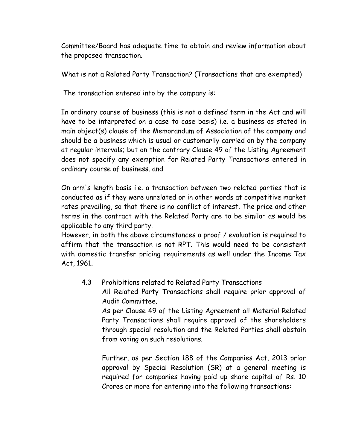Committee/Board has adequate time to obtain and review information about the proposed transaction.

What is not a Related Party Transaction? (Transactions that are exempted)

The transaction entered into by the company is:

In ordinary course of business (this is not a defined term in the Act and will have to be interpreted on a case to case basis) i.e. a business as stated in main object(s) clause of the Memorandum of Association of the company and should be a business which is usual or customarily carried on by the company at regular intervals; but on the contrary Clause 49 of the Listing Agreement does not specify any exemption for Related Party Transactions entered in ordinary course of business. and

On arm's length basis i.e. a transaction between two related parties that is conducted as if they were unrelated or in other words at competitive market rates prevailing, so that there is no conflict of interest. The price and other terms in the contract with the Related Party are to be similar as would be applicable to any third party.

However, in both the above circumstances a proof / evaluation is required to affirm that the transaction is not RPT. This would need to be consistent with domestic transfer pricing requirements as well under the Income Tax Act, 1961.

4.3 Prohibitions related to Related Party Transactions

All Related Party Transactions shall require prior approval of Audit Committee.

As per Clause 49 of the Listing Agreement all Material Related Party Transactions shall require approval of the shareholders through special resolution and the Related Parties shall abstain from voting on such resolutions.

Further, as per Section 188 of the Companies Act, 2013 prior approval by Special Resolution (SR) at a general meeting is required for companies having paid up share capital of Rs. 10 Crores or more for entering into the following transactions: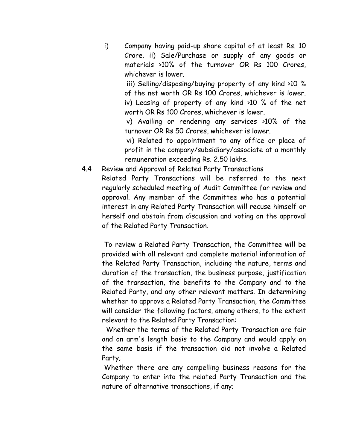i) Company having paid-up share capital of at least Rs. 10 Crore. ii) Sale/Purchase or supply of any goods or materials >10% of the turnover OR Rs 100 Crores, whichever is lower.

iii) Selling/disposing/buying property of any kind >10 % of the net worth OR Rs 100 Crores, whichever is lower. iv) Leasing of property of any kind >10 % of the net worth OR Rs 100 Crores, whichever is lower.

v) Availing or rendering any services >10% of the turnover OR Rs 50 Crores, whichever is lower.

vi) Related to appointment to any office or place of profit in the company/subsidiary/associate at a monthly remuneration exceeding Rs. 2.50 lakhs.

4.4 Review and Approval of Related Party Transactions

Related Party Transactions will be referred to the next regularly scheduled meeting of Audit Committee for review and approval. Any member of the Committee who has a potential interest in any Related Party Transaction will recuse himself or herself and abstain from discussion and voting on the approval of the Related Party Transaction.

To review a Related Party Transaction, the Committee will be provided with all relevant and complete material information of the Related Party Transaction, including the nature, terms and duration of the transaction, the business purpose, justification of the transaction, the benefits to the Company and to the Related Party, and any other relevant matters. In determining whether to approve a Related Party Transaction, the Committee will consider the following factors, among others, to the extent relevant to the Related Party Transaction:

 Whether the terms of the Related Party Transaction are fair and on arm's length basis to the Company and would apply on the same basis if the transaction did not involve a Related Party;

Whether there are any compelling business reasons for the Company to enter into the related Party Transaction and the nature of alternative transactions, if any;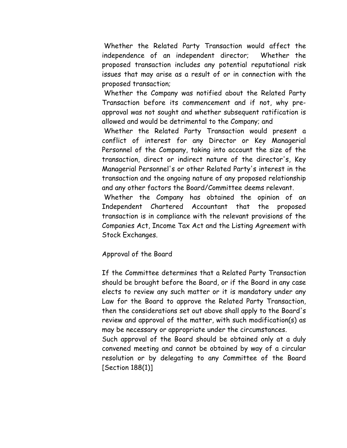Whether the Related Party Transaction would affect the independence of an independent director; Whether the proposed transaction includes any potential reputational risk issues that may arise as a result of or in connection with the proposed transaction;

Whether the Company was notified about the Related Party Transaction before its commencement and if not, why preapproval was not sought and whether subsequent ratification is allowed and would be detrimental to the Company; and

Whether the Related Party Transaction would present a conflict of interest for any Director or Key Managerial Personnel of the Company, taking into account the size of the transaction, direct or indirect nature of the director's, Key Managerial Personnel's or other Related Party's interest in the transaction and the ongoing nature of any proposed relationship and any other factors the Board/Committee deems relevant.

Whether the Company has obtained the opinion of an Independent Chartered Accountant that the proposed transaction is in compliance with the relevant provisions of the Companies Act, Income Tax Act and the Listing Agreement with Stock Exchanges.

### Approval of the Board

If the Committee determines that a Related Party Transaction should be brought before the Board, or if the Board in any case elects to review any such matter or it is mandatory under any Law for the Board to approve the Related Party Transaction, then the considerations set out above shall apply to the Board's review and approval of the matter, with such modification(s) as may be necessary or appropriate under the circumstances. Such approval of the Board should be obtained only at a duly

convened meeting and cannot be obtained by way of a circular resolution or by delegating to any Committee of the Board [Section 188(1)]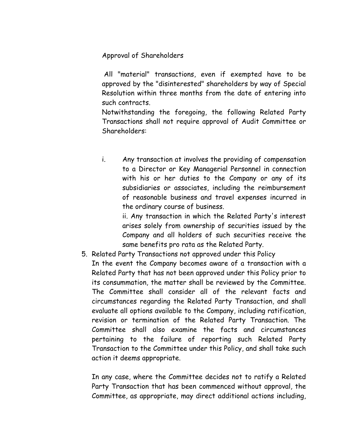Approval of Shareholders

All "material" transactions, even if exempted have to be approved by the "disinterested" shareholders by way of Special Resolution within three months from the date of entering into such contracts.

Notwithstanding the foregoing, the following Related Party Transactions shall not require approval of Audit Committee or Shareholders:

i. Any transaction at involves the providing of compensation to a Director or Key Managerial Personnel in connection with his or her duties to the Company or any of its subsidiaries or associates, including the reimbursement of reasonable business and travel expenses incurred in the ordinary course of business.

ii. Any transaction in which the Related Party's interest arises solely from ownership of securities issued by the Company and all holders of such securities receive the same benefits pro rata as the Related Party.

5. Related Party Transactions not approved under this Policy In the event the Company becomes aware of a transaction with a Related Party that has not been approved under this Policy prior to its consummation, the matter shall be reviewed by the Committee. The Committee shall consider all of the relevant facts and circumstances regarding the Related Party Transaction, and shall evaluate all options available to the Company, including ratification, revision or termination of the Related Party Transaction. The Committee shall also examine the facts and circumstances pertaining to the failure of reporting such Related Party Transaction to the Committee under this Policy, and shall take such action it deems appropriate.

In any case, where the Committee decides not to ratify a Related Party Transaction that has been commenced without approval, the Committee, as appropriate, may direct additional actions including,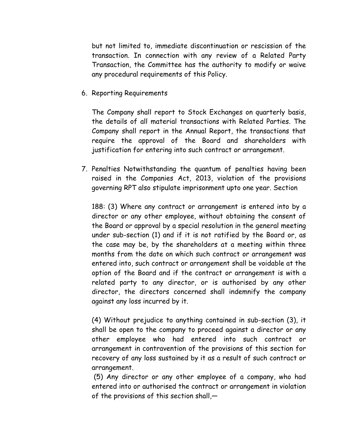but not limited to, immediate discontinuation or rescission of the transaction. In connection with any review of a Related Party Transaction, the Committee has the authority to modify or waive any procedural requirements of this Policy.

6. Reporting Requirements

The Company shall report to Stock Exchanges on quarterly basis, the details of all material transactions with Related Parties. The Company shall report in the Annual Report, the transactions that require the approval of the Board and shareholders with justification for entering into such contract or arrangement.

7. Penalties Notwithstanding the quantum of penalties having been raised in the Companies Act, 2013, violation of the provisions governing RPT also stipulate imprisonment upto one year. Section

188: (3) Where any contract or arrangement is entered into by a director or any other employee, without obtaining the consent of the Board or approval by a special resolution in the general meeting under sub-section (1) and if it is not ratified by the Board or, as the case may be, by the shareholders at a meeting within three months from the date on which such contract or arrangement was entered into, such contract or arrangement shall be voidable at the option of the Board and if the contract or arrangement is with a related party to any director, or is authorised by any other director, the directors concerned shall indemnify the company against any loss incurred by it.

(4) Without prejudice to anything contained in sub-section (3), it shall be open to the company to proceed against a director or any other employee who had entered into such contract or arrangement in contravention of the provisions of this section for recovery of any loss sustained by it as a result of such contract or arrangement.

(5) Any director or any other employee of a company, who had entered into or authorised the contract or arrangement in violation of the provisions of this section shall,—